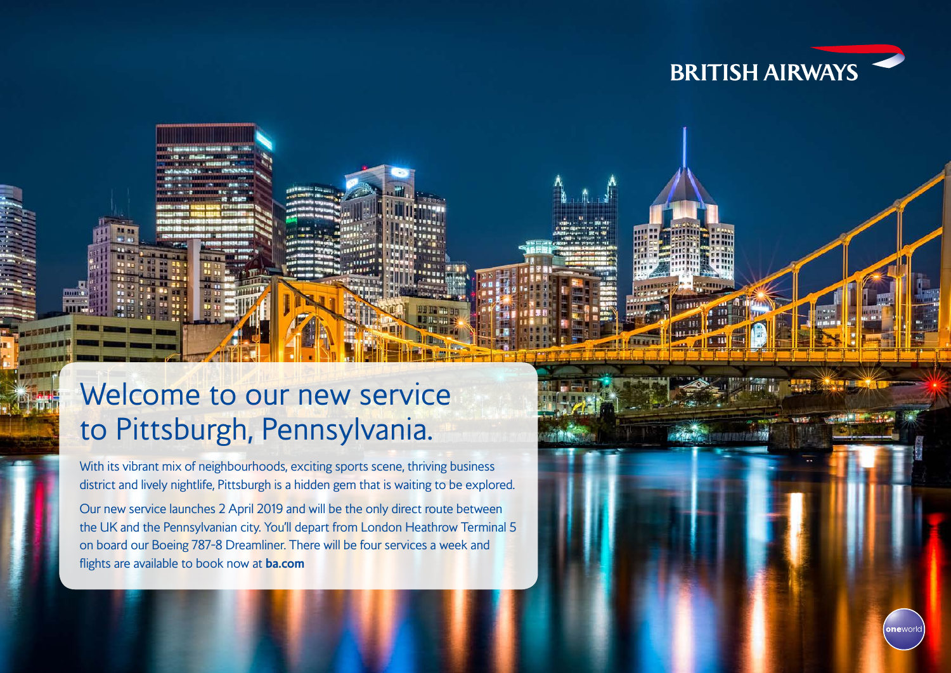



## Welcome to our new service to Pittsburgh, Pennsylvania.

With its vibrant mix of neighbourhoods, exciting sports scene, thriving business district and lively nightlife, Pittsburgh is a hidden gem that is waiting to be explored.

Our new service launches 2 April 2019 and will be the only direct route between the UK and the Pennsylvanian city. You'll depart from London Heathrow Terminal 5 on board our Boeing 787-8 Dreamliner. There will be four services a week and flights are available to book now at **ba.com**

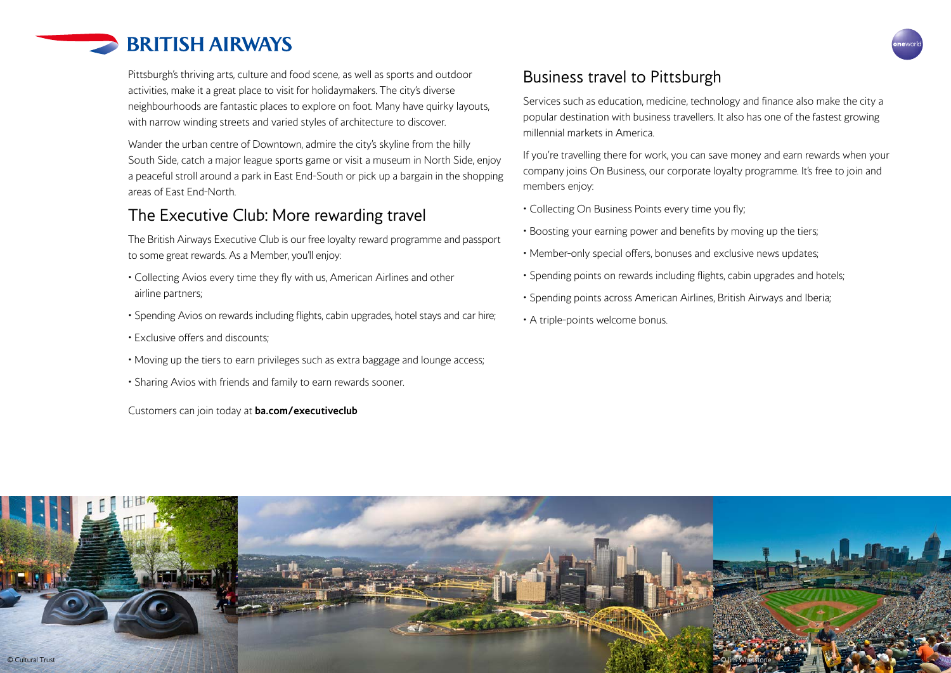

Pittsburgh's thriving arts, culture and food scene, as well as sports and outdoor activities, make it a great place to visit for holidaymakers. The city's diverse neighbourhoods are fantastic places to explore on foot. Many have quirky layouts, with narrow winding streets and varied styles of architecture to discover.

Wander the urban centre of Downtown, admire the city's skyline from the hilly South Side, catch a major league sports game or visit a museum in North Side, enjoy a peaceful stroll around a park in East End-South or pick up a bargain in the shopping areas of East End-North.

## The Executive Club: More rewarding travel

The British Airways Executive Club is our free loyalty reward programme and passport to some great rewards. As a Member, you'll enjoy:

- Collecting Avios every time they fly with us, American Airlines and other airline partners;
- Spending Avios on rewards including flights, cabin upgrades, hotel stays and car hire;
- Exclusive offers and discounts;
- Moving up the tiers to earn privileges such as extra baggage and lounge access;
- Sharing Avios with friends and family to earn rewards sooner.

Customers can join today at **ba.com/executiveclub**

## Business travel to Pittsburgh

Services such as education, medicine, technology and finance also make the city a popular destination with business travellers. It also has one of the fastest growing millennial markets in America.

If you're travelling there for work, you can save money and earn rewards when your company joins On Business, our corporate loyalty programme. It's free to join and members enjoy:

- Collecting On Business Points every time you fly;
- Boosting your earning power and benefits by moving up the tiers;
- Member-only special offers, bonuses and exclusive news updates;
- Spending points on rewards including flights, cabin upgrades and hotels;
- Spending points across American Airlines, British Airways and Iberia;
- A triple-points welcome bonus.

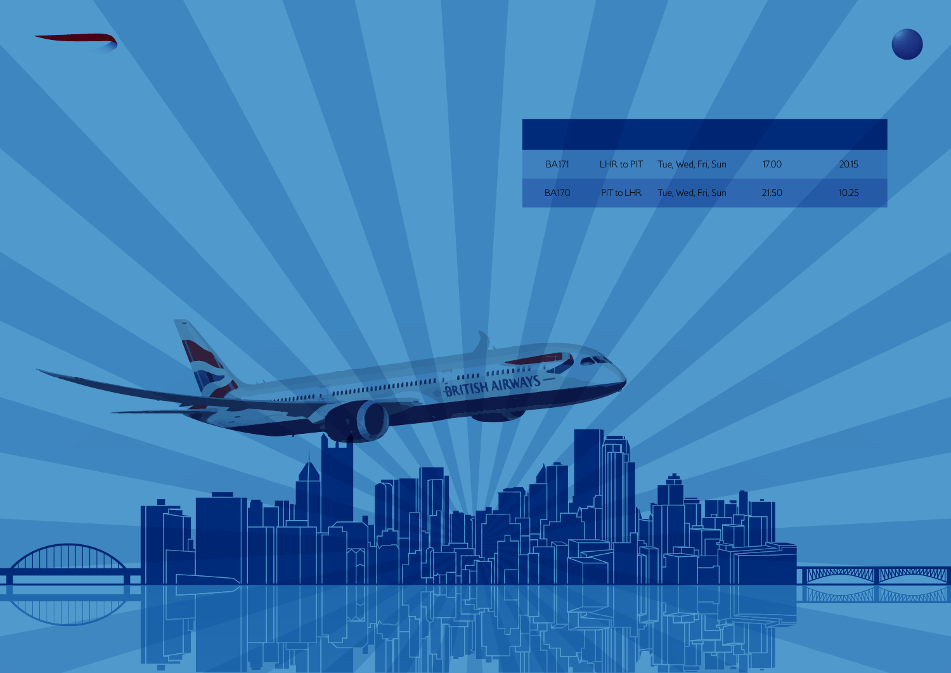| <b>BA171</b> | LHR to PIT | Tue, Wed, Fri, Sun | 17.00 | 20.15 |
|--------------|------------|--------------------|-------|-------|
| <b>BA170</b> | PIT to LHR | Tue, Wed, Fri, Sun | 21.50 | 10.25 |



러빌